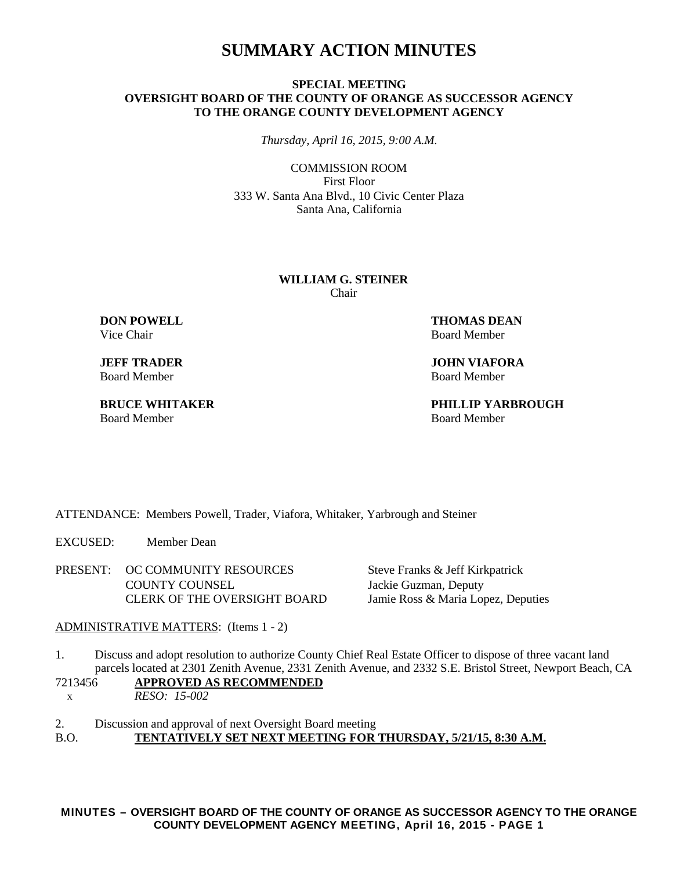## **SUMMARY ACTION MINUTES**

## **SPECIAL MEETING OVERSIGHT BOARD OF THE COUNTY OF ORANGE AS SUCCESSOR AGENCY TO THE ORANGE COUNTY DEVELOPMENT AGENCY**

*Thursday, April 16, 2015, 9:00 A.M.*

COMMISSION ROOM First Floor 333 W. Santa Ana Blvd., 10 Civic Center Plaza Santa Ana, California

#### **WILLIAM G. STEINER** Chair

Vice Chair **Board Member** Board Member

Board Member Board Member

**DON POWELL THOMAS DEAN** 

**JEFF TRADER JOHN VIAFORA**<br> **Board Member Board Member** Board Member

**BRUCE WHITAKER PHILLIP YARBROUGH**

ATTENDANCE: Members Powell, Trader, Viafora, Whitaker, Yarbrough and Steiner

EXCUSED: Member Dean

PRESENT: OC COMMUNITY RESOURCES Steve Franks & Jeff Kirkpatrick COUNTY COUNSEL Jackie Guzman, Deputy CLERK OF THE OVERSIGHT BOARD Jamie Ross & Maria Lopez, Deputies

ADMINISTRATIVE MATTERS: (Items 1 - 2)

1. Discuss and adopt resolution to authorize County Chief Real Estate Officer to dispose of three vacant land parcels located at 2301 Zenith Avenue, 2331 Zenith Avenue, and 2332 S.E. Bristol Street, Newport Beach, CA

7213456 **APPROVED AS RECOMMENDED** <sup>X</sup>*RESO: 15-002*

2. Discussion and approval of next Oversight Board meeting B.O. **TENTATIVELY SET NEXT MEETING FOR THURSDAY, 5/21/15, 8:30 A.M.**

**MINUTES – OVERSIGHT BOARD OF THE COUNTY OF ORANGE AS SUCCESSOR AGENCY TO THE ORANGE COUNTY DEVELOPMENT AGENCY MEETING, April 16, 2015 - PAGE 1**